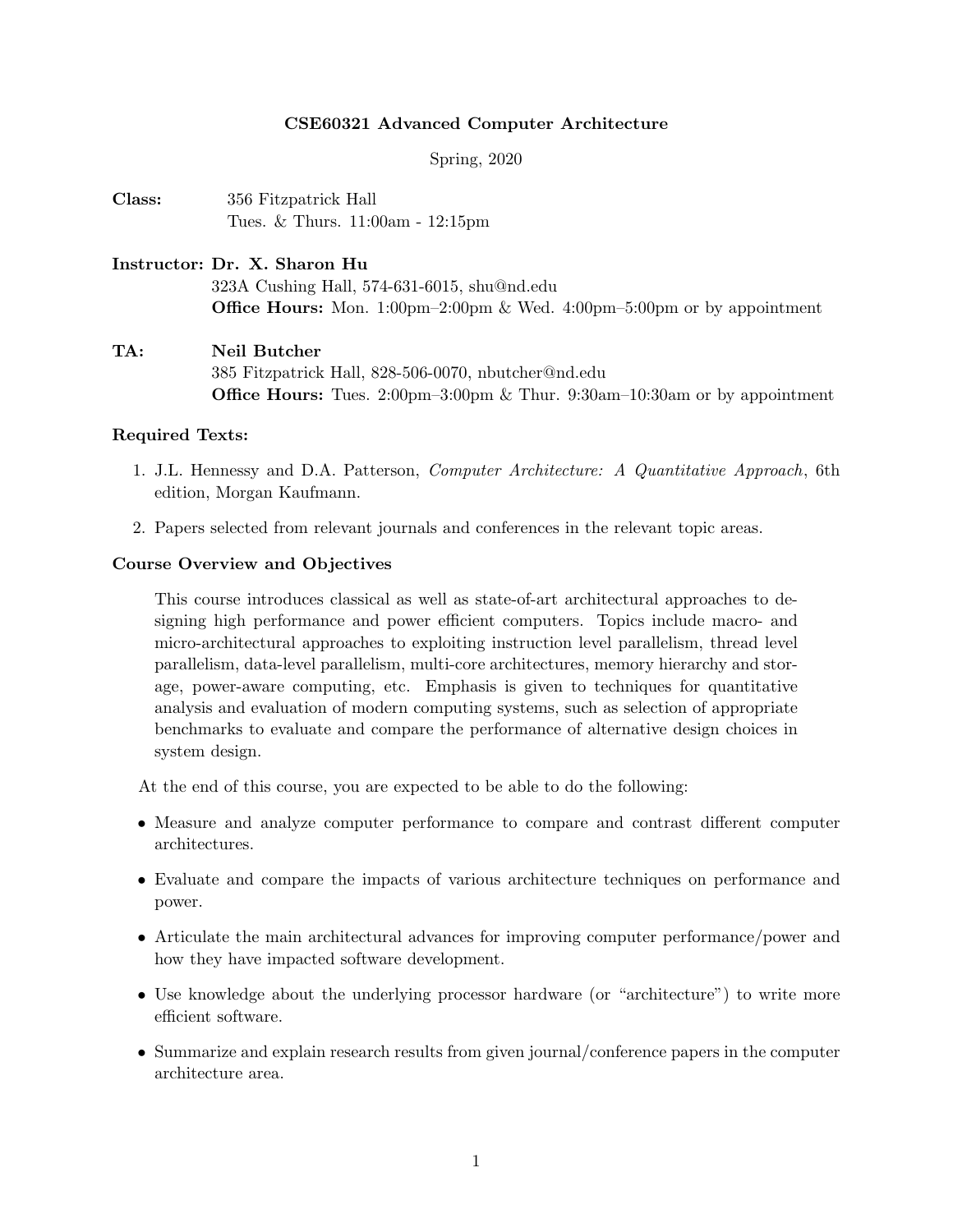### CSE60321 Advanced Computer Architecture

Spring, 2020

Class: 356 Fitzpatrick Hall Tues. & Thurs. 11:00am - 12:15pm

# Instructor: Dr. X. Sharon Hu 323A Cushing Hall, 574-631-6015, shu@nd.edu Office Hours: Mon. 1:00pm–2:00pm & Wed. 4:00pm–5:00pm or by appointment

TA: Neil Butcher 385 Fitzpatrick Hall, 828-506-0070, nbutcher@nd.edu **Office Hours:** Tues. 2:00pm–3:00pm & Thur. 9:30am–10:30am or by appointment

#### Required Texts:

- 1. J.L. Hennessy and D.A. Patterson, Computer Architecture: A Quantitative Approach, 6th edition, Morgan Kaufmann.
- 2. Papers selected from relevant journals and conferences in the relevant topic areas.

#### Course Overview and Objectives

This course introduces classical as well as state-of-art architectural approaches to designing high performance and power efficient computers. Topics include macro- and micro-architectural approaches to exploiting instruction level parallelism, thread level parallelism, data-level parallelism, multi-core architectures, memory hierarchy and storage, power-aware computing, etc. Emphasis is given to techniques for quantitative analysis and evaluation of modern computing systems, such as selection of appropriate benchmarks to evaluate and compare the performance of alternative design choices in system design.

At the end of this course, you are expected to be able to do the following:

- Measure and analyze computer performance to compare and contrast different computer architectures.
- Evaluate and compare the impacts of various architecture techniques on performance and power.
- Articulate the main architectural advances for improving computer performance/power and how they have impacted software development.
- Use knowledge about the underlying processor hardware (or "architecture") to write more efficient software.
- Summarize and explain research results from given journal/conference papers in the computer architecture area.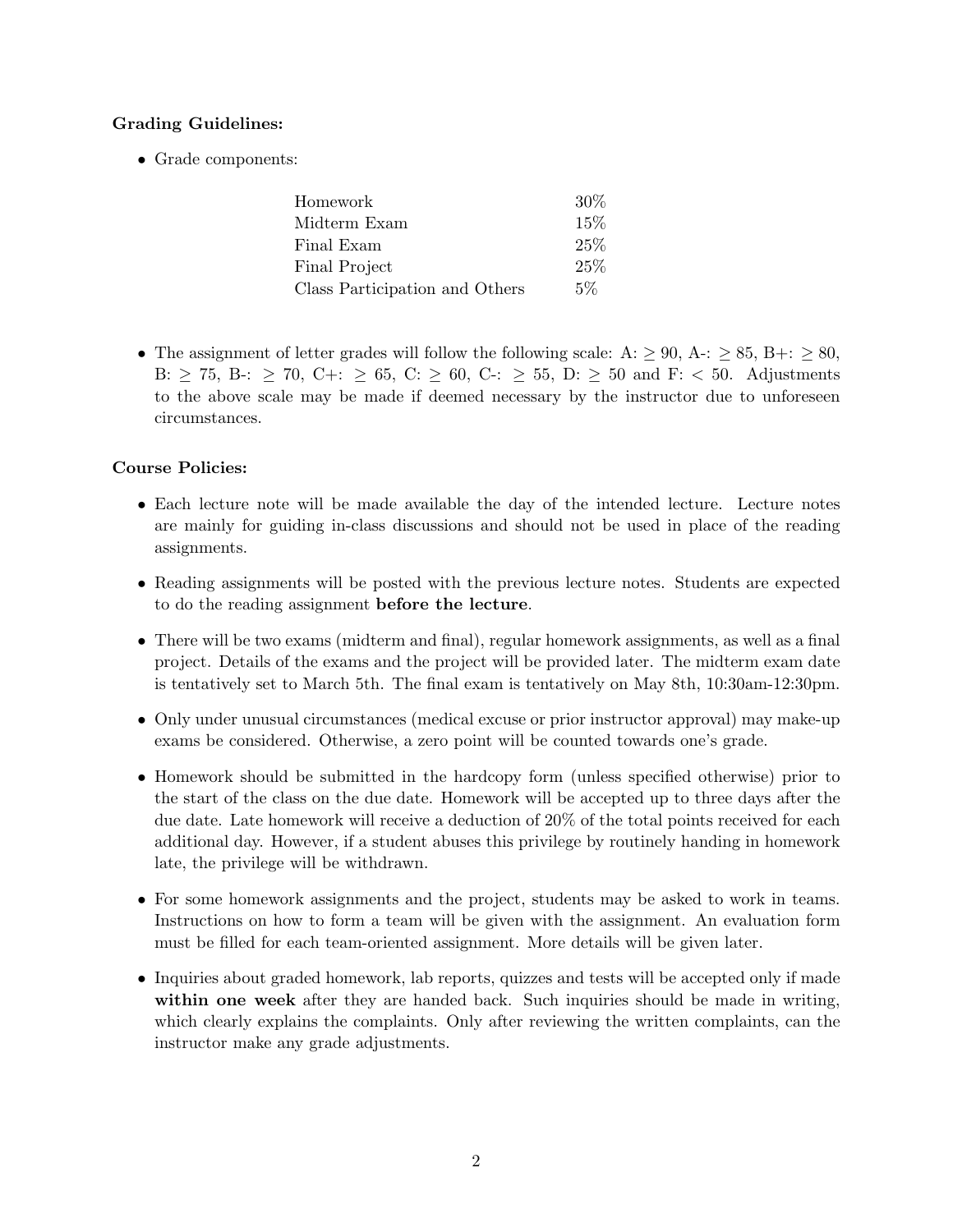## Grading Guidelines:

• Grade components:

| Homework                       | 30\%   |
|--------------------------------|--------|
| Midterm Exam                   | $15\%$ |
| Final Exam                     | 25%    |
| <b>Final Project</b>           | 25%    |
| Class Participation and Others | $5\%$  |

• The assignment of letter grades will follow the following scale: A:  $\geq 90$ , A-:  $\geq 85$ , B+:  $\geq 80$ , B:  $\geq$  75, B-:  $\geq$  70, C+:  $\geq$  65, C:  $\geq$  60, C-:  $\geq$  55, D:  $\geq$  50 and F: < 50. Adjustments to the above scale may be made if deemed necessary by the instructor due to unforeseen circumstances.

### Course Policies:

- Each lecture note will be made available the day of the intended lecture. Lecture notes are mainly for guiding in-class discussions and should not be used in place of the reading assignments.
- Reading assignments will be posted with the previous lecture notes. Students are expected to do the reading assignment before the lecture.
- There will be two exams (midterm and final), regular homework assignments, as well as a final project. Details of the exams and the project will be provided later. The midterm exam date is tentatively set to March 5th. The final exam is tentatively on May 8th, 10:30am-12:30pm.
- Only under unusual circumstances (medical excuse or prior instructor approval) may make-up exams be considered. Otherwise, a zero point will be counted towards one's grade.
- Homework should be submitted in the hardcopy form (unless specified otherwise) prior to the start of the class on the due date. Homework will be accepted up to three days after the due date. Late homework will receive a deduction of 20% of the total points received for each additional day. However, if a student abuses this privilege by routinely handing in homework late, the privilege will be withdrawn.
- For some homework assignments and the project, students may be asked to work in teams. Instructions on how to form a team will be given with the assignment. An evaluation form must be filled for each team-oriented assignment. More details will be given later.
- Inquiries about graded homework, lab reports, quizzes and tests will be accepted only if made within one week after they are handed back. Such inquiries should be made in writing, which clearly explains the complaints. Only after reviewing the written complaints, can the instructor make any grade adjustments.